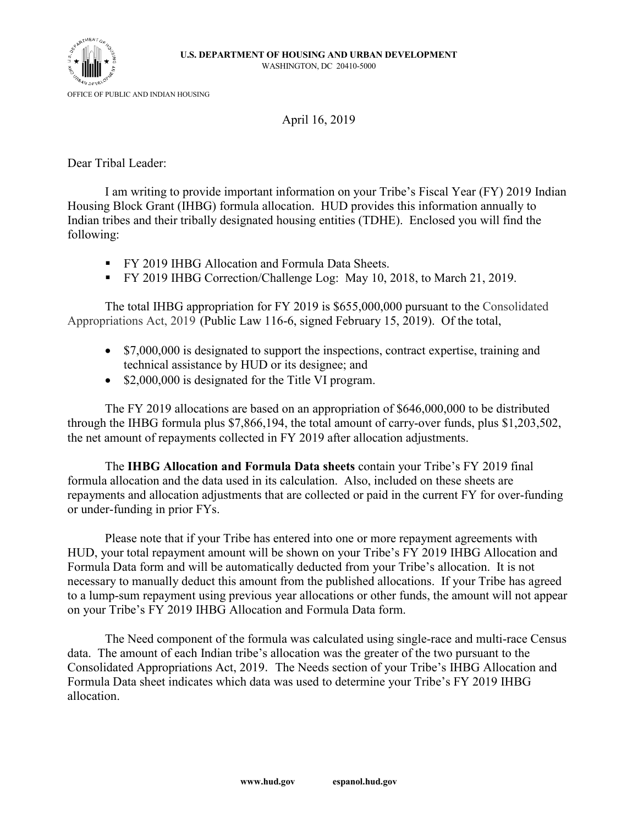

April 16, 2019

Dear Tribal Leader:

I am writing to provide important information on your Tribe's Fiscal Year (FY) 2019 Indian Housing Block Grant (IHBG) formula allocation. HUD provides this information annually to Indian tribes and their tribally designated housing entities (TDHE). Enclosed you will find the following:

- FY 2019 IHBG Allocation and Formula Data Sheets.
- FY 2019 IHBG Correction/Challenge Log: May 10, 2018, to March 21, 2019.

The total IHBG appropriation for FY 2019 is \$655,000,000 pursuant to the Consolidated Appropriations Act, 2019 (Public Law 116-6, signed February 15, 2019). Of the total,

- \$7,000,000 is designated to support the inspections, contract expertise, training and technical assistance by HUD or its designee; and
- \$2,000,000 is designated for the Title VI program.

The FY 2019 allocations are based on an appropriation of \$646,000,000 to be distributed through the IHBG formula plus \$7,866,194, the total amount of carry-over funds, plus \$1,203,502, the net amount of repayments collected in FY 2019 after allocation adjustments.

The **IHBG Allocation and Formula Data sheets** contain your Tribe's FY 2019 final formula allocation and the data used in its calculation. Also, included on these sheets are repayments and allocation adjustments that are collected or paid in the current FY for over-funding or under-funding in prior FYs.

Please note that if your Tribe has entered into one or more repayment agreements with HUD, your total repayment amount will be shown on your Tribe's FY 2019 IHBG Allocation and Formula Data form and will be automatically deducted from your Tribe's allocation. It is not necessary to manually deduct this amount from the published allocations. If your Tribe has agreed to a lump-sum repayment using previous year allocations or other funds, the amount will not appear on your Tribe's FY 2019 IHBG Allocation and Formula Data form.

The Need component of the formula was calculated using single-race and multi-race Census data. The amount of each Indian tribe's allocation was the greater of the two pursuant to the Consolidated Appropriations Act, 2019. The Needs section of your Tribe's IHBG Allocation and Formula Data sheet indicates which data was used to determine your Tribe's FY 2019 IHBG allocation.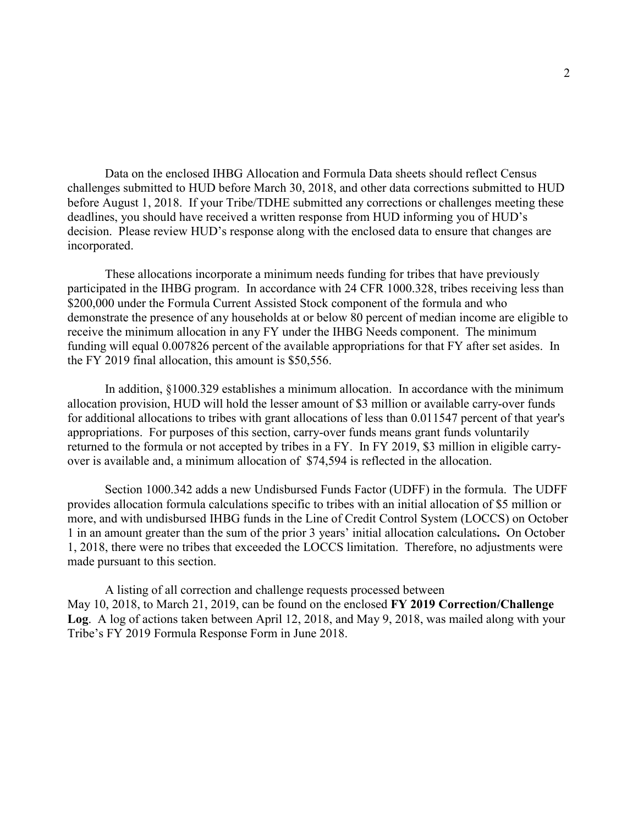Data on the enclosed IHBG Allocation and Formula Data sheets should reflect Census challenges submitted to HUD before March 30, 2018, and other data corrections submitted to HUD before August 1, 2018. If your Tribe/TDHE submitted any corrections or challenges meeting these deadlines, you should have received a written response from HUD informing you of HUD's decision. Please review HUD's response along with the enclosed data to ensure that changes are incorporated.

These allocations incorporate a minimum needs funding for tribes that have previously participated in the IHBG program. In accordance with 24 CFR 1000.328, tribes receiving less than \$200,000 under the Formula Current Assisted Stock component of the formula and who demonstrate the presence of any households at or below 80 percent of median income are eligible to receive the minimum allocation in any FY under the IHBG Needs component. The minimum funding will equal 0.007826 percent of the available appropriations for that FY after set asides. In the FY 2019 final allocation, this amount is \$50,556.

In addition, §1000.329 establishes a minimum allocation. In accordance with the minimum allocation provision, HUD will hold the lesser amount of \$3 million or available carry-over funds for additional allocations to tribes with grant allocations of less than 0.011547 percent of that year's appropriations. For purposes of this section, carry-over funds means grant funds voluntarily returned to the formula or not accepted by tribes in a FY. In FY 2019, \$3 million in eligible carryover is available and, a minimum allocation of \$74,594 is reflected in the allocation.

Section 1000.342 adds a new Undisbursed Funds Factor (UDFF) in the formula. The UDFF provides allocation formula calculations specific to tribes with an initial allocation of \$5 million or more, and with undisbursed IHBG funds in the Line of Credit Control System (LOCCS) on October 1 in an amount greater than the sum of the prior 3 years' initial allocation calculations**.** On October 1, 2018, there were no tribes that exceeded the LOCCS limitation. Therefore, no adjustments were made pursuant to this section.

A listing of all correction and challenge requests processed between May 10, 2018, to March 21, 2019, can be found on the enclosed **FY 2019 Correction/Challenge Log**. A log of actions taken between April 12, 2018, and May 9, 2018, was mailed along with your Tribe's FY 2019 Formula Response Form in June 2018.